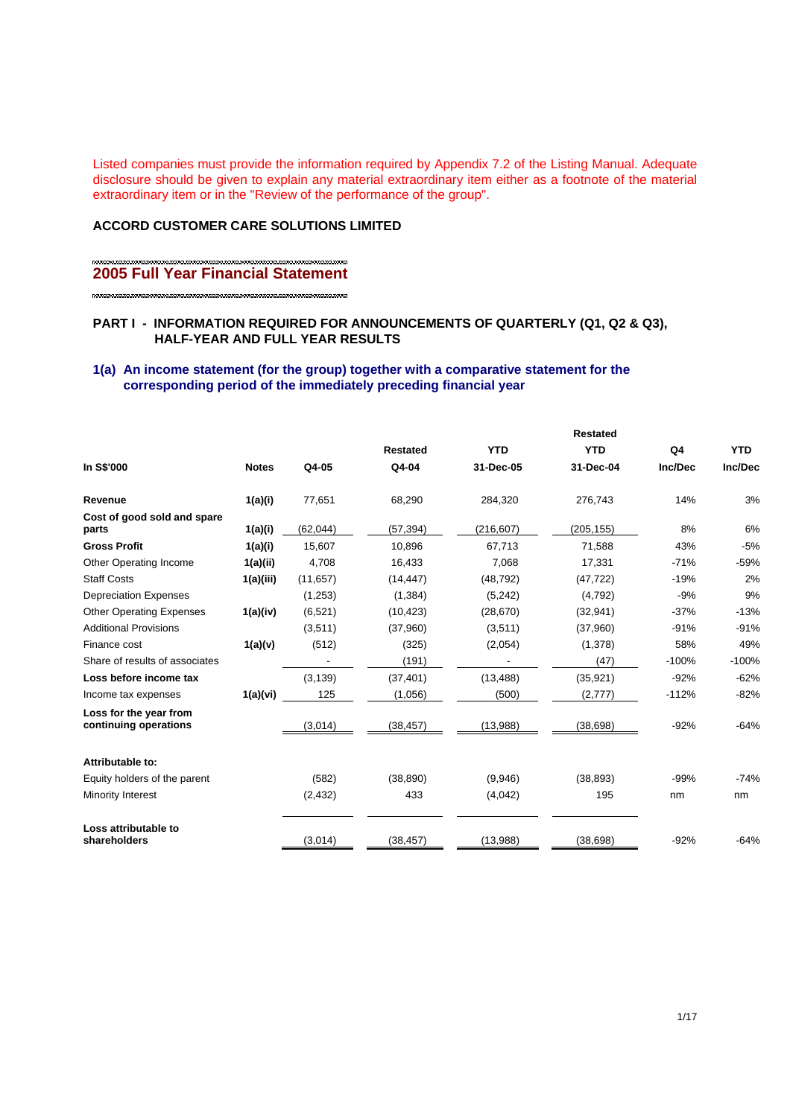Listed companies must provide the information required by Appendix 7.2 of the Listing Manual. Adequate disclosure should be given to explain any material extraordinary item either as a footnote of the material extraordinary item or in the "Review of the performance of the group".

## **ACCORD CUSTOMER CARE SOLUTIONS LIMITED**

## **2005 Full Year Financial Statement**

### **PART I - INFORMATION REQUIRED FOR ANNOUNCEMENTS OF QUARTERLY (Q1, Q2 & Q3), HALF-YEAR AND FULL YEAR RESULTS**

### **1(a) An income statement (for the group) together with a comparative statement for the corresponding period of the immediately preceding financial year**

|                                                 |              |           |                 | <b>Restated</b> |            |         |            |
|-------------------------------------------------|--------------|-----------|-----------------|-----------------|------------|---------|------------|
|                                                 |              |           | <b>Restated</b> | <b>YTD</b>      | <b>YTD</b> | Q4      | <b>YTD</b> |
| In S\$'000                                      | <b>Notes</b> | Q4-05     | Q4-04           | 31-Dec-05       | 31-Dec-04  | Inc/Dec | Inc/Dec    |
| Revenue                                         | 1(a)(i)      | 77,651    | 68,290          | 284,320         | 276,743    | 14%     | 3%         |
| Cost of good sold and spare<br>parts            | 1(a)(i)      | (62, 044) | (57, 394)       | (216, 607)      | (205, 155) | 8%      | 6%         |
| <b>Gross Profit</b>                             | 1(a)(i)      | 15.607    | 10.896          | 67.713          | 71.588     | 43%     | $-5%$      |
| Other Operating Income                          | 1(a)(ii)     | 4,708     | 16,433          | 7,068           | 17,331     | $-71%$  | $-59%$     |
| <b>Staff Costs</b>                              | 1(a)(iii)    | (11, 657) | (14, 447)       | (48, 792)       | (47, 722)  | $-19%$  | 2%         |
| <b>Depreciation Expenses</b>                    |              | (1,253)   | (1, 384)        | (5,242)         | (4,792)    | $-9%$   | 9%         |
| <b>Other Operating Expenses</b>                 | 1(a)(iv)     | (6,521)   | (10, 423)       | (28, 670)       | (32, 941)  | $-37%$  | $-13%$     |
| <b>Additional Provisions</b>                    |              | (3,511)   | (37,960)        | (3,511)         | (37,960)   | $-91%$  | $-91%$     |
| Finance cost                                    | 1(a)(v)      | (512)     | (325)           | (2,054)         | (1,378)    | 58%     | 49%        |
| Share of results of associates                  |              |           | (191)           |                 | (47)       | $-100%$ | $-100%$    |
| Loss before income tax                          |              | (3, 139)  | (37, 401)       | (13, 488)       | (35, 921)  | $-92%$  | $-62%$     |
| Income tax expenses                             | 1(a)(vi)     | 125       | (1,056)         | (500)           | (2,777)    | $-112%$ | $-82%$     |
| Loss for the year from<br>continuing operations |              | (3,014)   | (38, 457)       | (13,988)        | (38, 698)  | $-92%$  | $-64%$     |
| Attributable to:                                |              |           |                 |                 |            |         |            |
| Equity holders of the parent                    |              | (582)     | (38, 890)       | (9,946)         | (38, 893)  | $-99%$  | $-74%$     |
| Minority Interest                               |              | (2, 432)  | 433             | (4,042)         | 195        | nm      | nm         |
| Loss attributable to<br>shareholders            |              | (3,014)   | (38, 457)       | (13,988)        | (38, 698)  | $-92%$  | $-64%$     |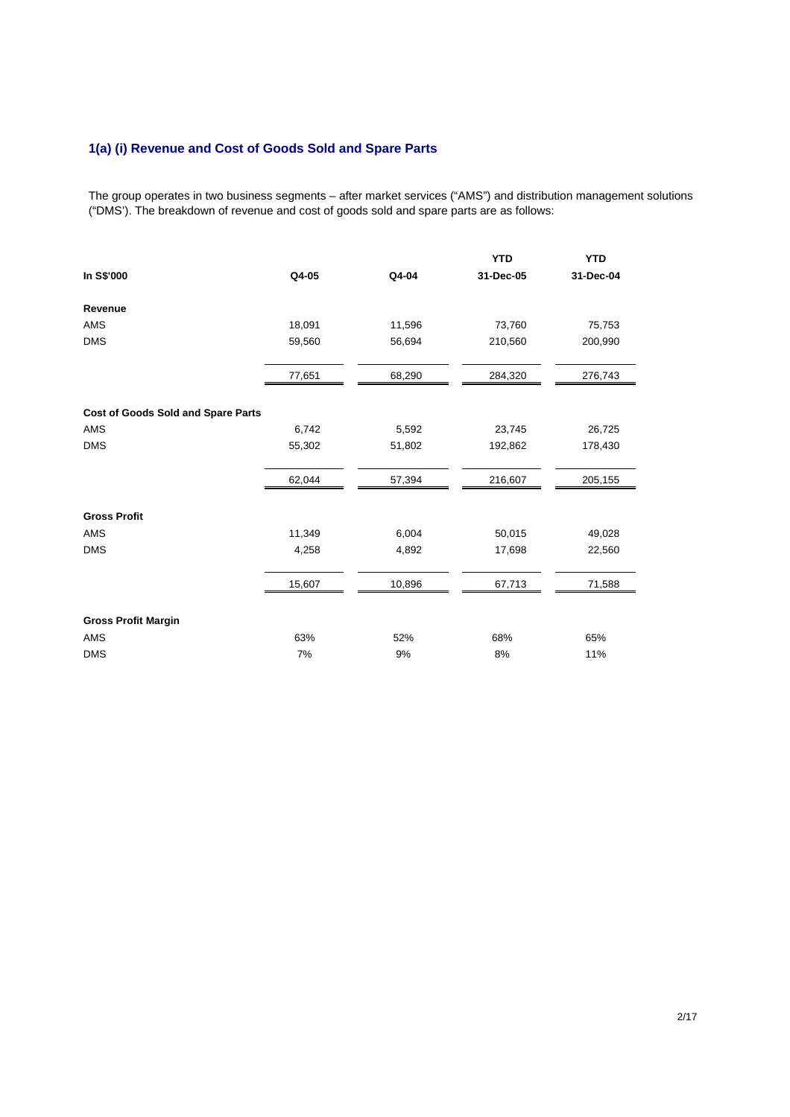## **1(a) (i) Revenue and Cost of Goods Sold and Spare Parts**

The group operates in two business segments – after market services ("AMS") and distribution management solutions ("DMS'). The breakdown of revenue and cost of goods sold and spare parts are as follows:

|                                           |        |        | <b>YTD</b> | <b>YTD</b> |
|-------------------------------------------|--------|--------|------------|------------|
| In S\$'000                                | Q4-05  | Q4-04  | 31-Dec-05  | 31-Dec-04  |
| Revenue                                   |        |        |            |            |
| AMS                                       | 18,091 | 11,596 | 73,760     | 75,753     |
| <b>DMS</b>                                | 59,560 | 56,694 | 210,560    | 200,990    |
|                                           | 77,651 | 68,290 | 284,320    | 276,743    |
| <b>Cost of Goods Sold and Spare Parts</b> |        |        |            |            |
| AMS                                       | 6,742  | 5,592  | 23,745     | 26,725     |
| <b>DMS</b>                                | 55,302 | 51,802 | 192,862    | 178,430    |
|                                           | 62,044 | 57,394 | 216,607    | 205,155    |
| <b>Gross Profit</b>                       |        |        |            |            |
| AMS                                       | 11,349 | 6,004  | 50,015     | 49,028     |
| <b>DMS</b>                                | 4,258  | 4,892  | 17,698     | 22,560     |
|                                           | 15,607 | 10,896 | 67,713     | 71,588     |
| <b>Gross Profit Margin</b>                |        |        |            |            |
| AMS                                       | 63%    | 52%    | 68%        | 65%        |
| <b>DMS</b>                                | 7%     | 9%     | 8%         | 11%        |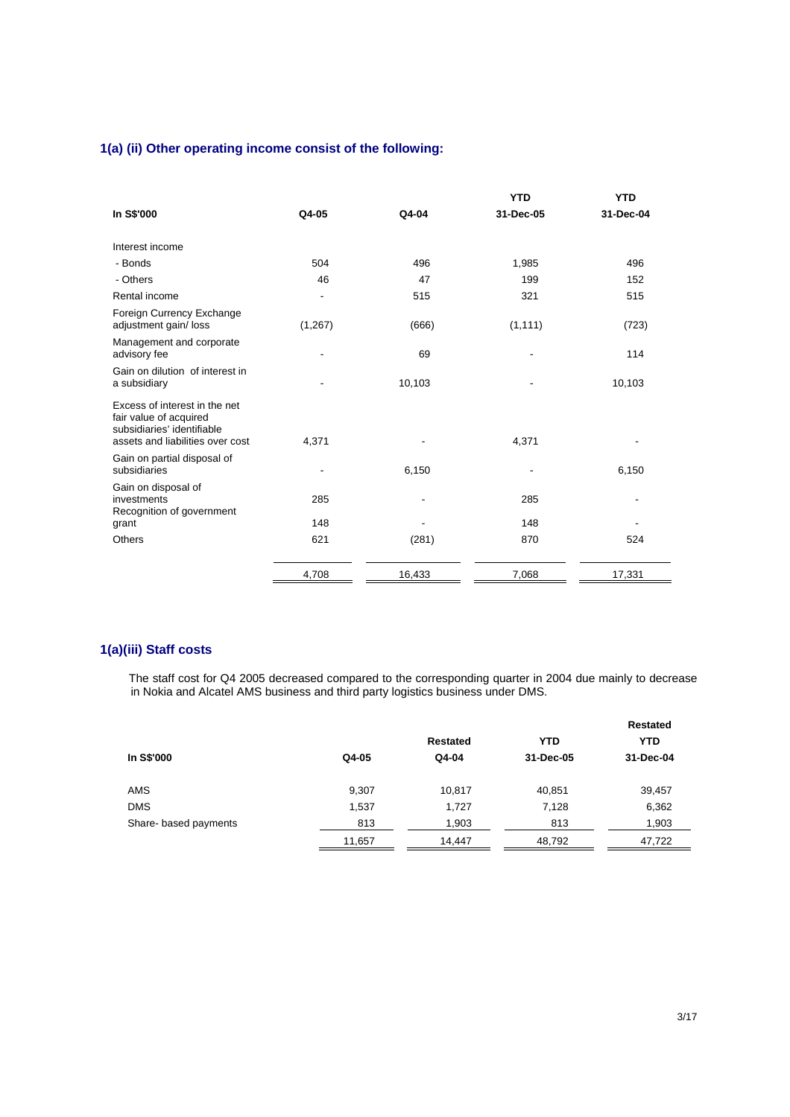## **1(a) (ii) Other operating income consist of the following:**

|                                                                                                                           |          |        | <b>YTD</b> | <b>YTD</b> |
|---------------------------------------------------------------------------------------------------------------------------|----------|--------|------------|------------|
| In S\$'000                                                                                                                | Q4-05    | Q4-04  | 31-Dec-05  | 31-Dec-04  |
| Interest income                                                                                                           |          |        |            |            |
| - Bonds                                                                                                                   | 504      | 496    | 1,985      | 496        |
| - Others                                                                                                                  | 46       | 47     | 199        | 152        |
| Rental income                                                                                                             |          | 515    | 321        | 515        |
| Foreign Currency Exchange<br>adjustment gain/loss                                                                         | (1, 267) | (666)  | (1, 111)   | (723)      |
| Management and corporate<br>advisory fee                                                                                  |          | 69     |            | 114        |
| Gain on dilution of interest in<br>a subsidiary                                                                           |          | 10,103 |            | 10,103     |
| Excess of interest in the net<br>fair value of acquired<br>subsidiaries' identifiable<br>assets and liabilities over cost | 4,371    |        | 4,371      |            |
| Gain on partial disposal of<br>subsidiaries                                                                               |          | 6,150  |            | 6,150      |
| Gain on disposal of<br>investments<br>Recognition of government                                                           | 285      |        | 285        |            |
| grant                                                                                                                     | 148      |        | 148        |            |
| <b>Others</b>                                                                                                             | 621      | (281)  | 870        | 524        |
|                                                                                                                           | 4,708    | 16,433 | 7,068      | 17,331     |

## **1(a)(iii) Staff costs**

The staff cost for Q4 2005 decreased compared to the corresponding quarter in 2004 due mainly to decrease in Nokia and Alcatel AMS business and third party logistics business under DMS.

|                       |        |          |            | <b>Restated</b> |
|-----------------------|--------|----------|------------|-----------------|
|                       |        | Restated | <b>YTD</b> | <b>YTD</b>      |
| In S\$'000            | Q4-05  | Q4-04    | 31-Dec-05  | 31-Dec-04       |
| <b>AMS</b>            | 9,307  | 10,817   | 40,851     | 39,457          |
| <b>DMS</b>            | 1,537  | 1,727    | 7,128      | 6,362           |
| Share- based payments | 813    | 1,903    | 813        | 1,903           |
|                       | 11,657 | 14,447   | 48,792     | 47,722          |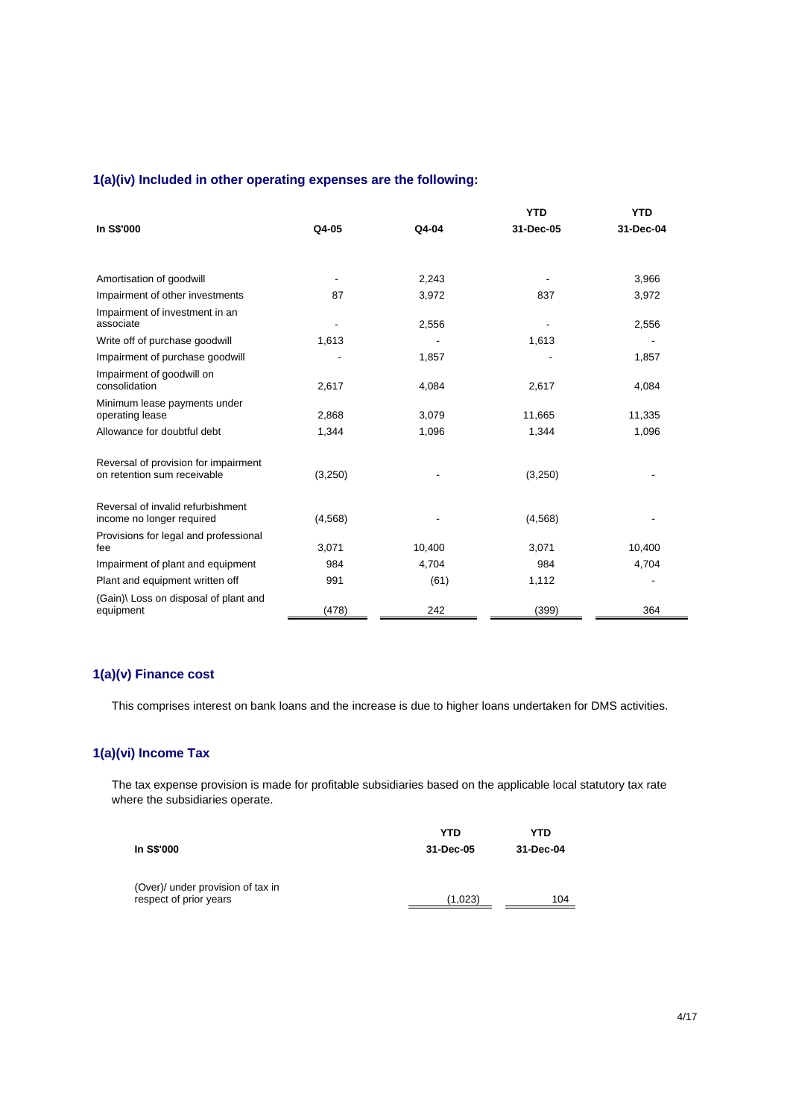## **1(a)(iv) Included in other operating expenses are the following:**

|                                                                     |                          |        | <b>YTD</b> | <b>YTD</b> |
|---------------------------------------------------------------------|--------------------------|--------|------------|------------|
| <b>In S\$'000</b>                                                   | Q4-05                    | Q4-04  | 31-Dec-05  | 31-Dec-04  |
|                                                                     |                          |        |            |            |
|                                                                     |                          |        |            |            |
| Amortisation of goodwill                                            | $\overline{\phantom{a}}$ | 2,243  |            | 3,966      |
| Impairment of other investments                                     | 87                       | 3,972  | 837        | 3,972      |
| Impairment of investment in an<br>associate                         |                          | 2,556  |            | 2,556      |
| Write off of purchase goodwill                                      | 1,613                    |        | 1,613      |            |
| Impairment of purchase goodwill                                     |                          | 1,857  |            | 1,857      |
| Impairment of goodwill on<br>consolidation                          | 2,617                    | 4,084  | 2,617      | 4,084      |
| Minimum lease payments under<br>operating lease                     | 2,868                    | 3,079  | 11,665     | 11,335     |
| Allowance for doubtful debt                                         | 1,344                    | 1,096  | 1,344      | 1,096      |
| Reversal of provision for impairment<br>on retention sum receivable | (3,250)                  |        | (3,250)    |            |
| Reversal of invalid refurbishment<br>income no longer required      | (4, 568)                 |        | (4, 568)   |            |
| Provisions for legal and professional<br>fee                        | 3,071                    | 10,400 | 3,071      | 10,400     |
| Impairment of plant and equipment                                   | 984                      | 4,704  | 984        | 4,704      |
| Plant and equipment written off                                     | 991                      | (61)   | 1,112      |            |
| (Gain)\ Loss on disposal of plant and<br>equipment                  | (478)                    | 242    | (399)      | 364        |

## **1(a)(v) Finance cost**

This comprises interest on bank loans and the increase is due to higher loans undertaken for DMS activities.

## **1(a)(vi) Income Tax**

The tax expense provision is made for profitable subsidiaries based on the applicable local statutory tax rate where the subsidiaries operate.

|                                                             | YTD       | YTD       |
|-------------------------------------------------------------|-----------|-----------|
| In S\$'000                                                  | 31-Dec-05 | 31-Dec-04 |
|                                                             |           |           |
| (Over)/ under provision of tax in<br>respect of prior years | (1,023)   | 104       |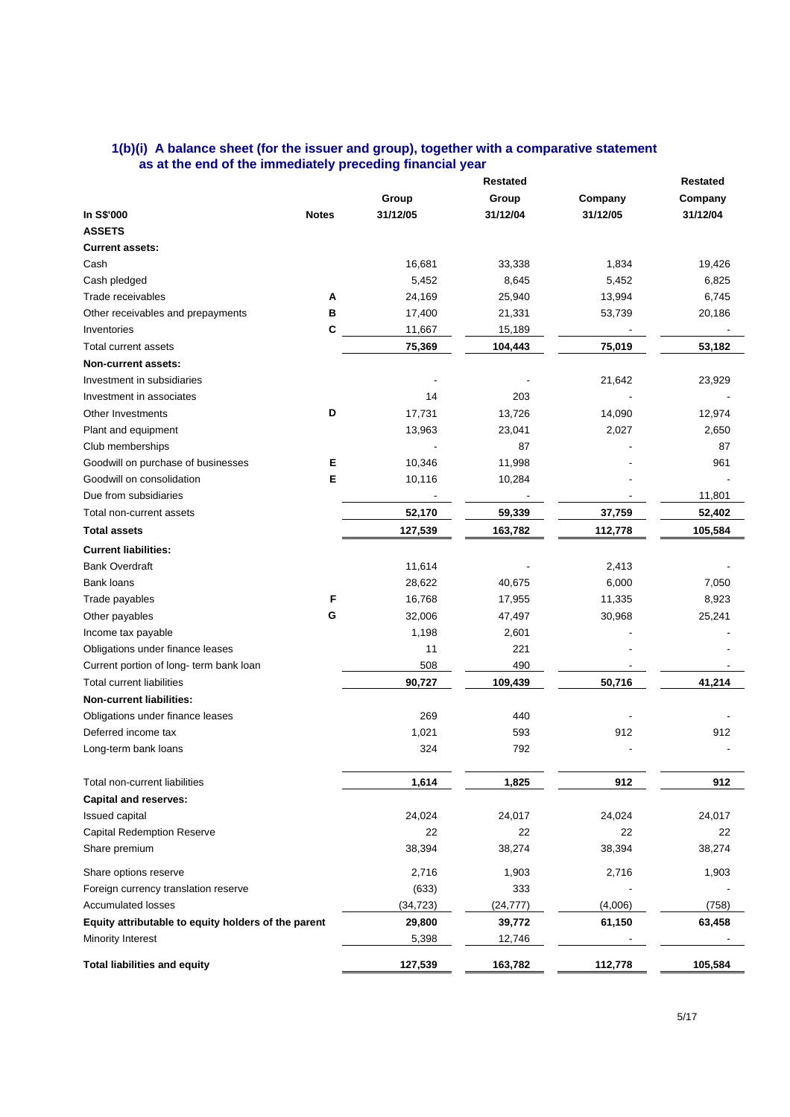#### **1(b)(i) A balance sheet (for the issuer and group), together with a comparative statement as at the end of the immediately preceding financial year**

|                                                     | <b>Restated</b> |                          |           |          | <b>Restated</b> |  |
|-----------------------------------------------------|-----------------|--------------------------|-----------|----------|-----------------|--|
|                                                     |                 | Group                    | Group     | Company  | Company         |  |
| In S\$'000                                          | <b>Notes</b>    | 31/12/05                 | 31/12/04  | 31/12/05 | 31/12/04        |  |
| <b>ASSETS</b>                                       |                 |                          |           |          |                 |  |
| <b>Current assets:</b>                              |                 |                          |           |          |                 |  |
| Cash                                                |                 | 16,681                   | 33,338    | 1,834    | 19,426          |  |
| Cash pledged                                        |                 | 5,452                    | 8,645     | 5,452    | 6,825           |  |
| Trade receivables                                   | А               | 24,169                   | 25,940    | 13,994   | 6,745           |  |
| Other receivables and prepayments                   | в               | 17,400                   | 21,331    | 53,739   | 20,186          |  |
| Inventories                                         | c               | 11,667                   | 15,189    |          |                 |  |
| Total current assets                                |                 | 75,369                   | 104,443   | 75,019   | 53,182          |  |
| Non-current assets:                                 |                 |                          |           |          |                 |  |
| Investment in subsidiaries                          |                 |                          |           | 21,642   | 23,929          |  |
| Investment in associates                            |                 | 14                       | 203       |          |                 |  |
| Other Investments                                   | D               | 17,731                   | 13,726    | 14,090   | 12,974          |  |
| Plant and equipment                                 |                 | 13,963                   | 23,041    | 2,027    | 2,650           |  |
| Club memberships                                    |                 |                          | 87        |          | 87              |  |
| Goodwill on purchase of businesses                  | Е               | 10,346                   | 11,998    |          | 961             |  |
| Goodwill on consolidation                           | Е               | 10,116                   | 10,284    |          |                 |  |
| Due from subsidiaries                               |                 | $\overline{\phantom{a}}$ |           |          | 11,801          |  |
| Total non-current assets                            |                 | 52,170                   | 59,339    | 37,759   | 52,402          |  |
| <b>Total assets</b>                                 |                 | 127,539                  | 163,782   | 112,778  | 105,584         |  |
|                                                     |                 |                          |           |          |                 |  |
| <b>Current liabilities:</b>                         |                 |                          |           |          |                 |  |
| <b>Bank Overdraft</b>                               |                 | 11,614                   |           | 2,413    |                 |  |
| Bank loans                                          |                 | 28,622                   | 40,675    | 6,000    | 7,050           |  |
| Trade payables                                      | F               | 16,768                   | 17,955    | 11,335   | 8,923           |  |
| Other payables                                      | G               | 32,006                   | 47,497    | 30,968   | 25,241          |  |
| Income tax payable                                  |                 | 1,198                    | 2,601     |          |                 |  |
| Obligations under finance leases                    |                 | 11                       | 221       |          |                 |  |
| Current portion of long- term bank loan             |                 | 508                      | 490       |          |                 |  |
| Total current liabilities                           |                 | 90,727                   | 109,439   | 50,716   | 41,214          |  |
| <b>Non-current liabilities:</b>                     |                 |                          |           |          |                 |  |
| Obligations under finance leases                    |                 | 269                      | 440       |          |                 |  |
| Deferred income tax                                 |                 | 1,021                    | 593       | 912      | 912             |  |
| Long-term bank loans                                |                 | 324                      | 792       |          |                 |  |
| Total non-current liabilities                       |                 | 1,614                    | 1,825     | 912      | 912             |  |
| <b>Capital and reserves:</b>                        |                 |                          |           |          |                 |  |
| Issued capital                                      |                 | 24,024                   | 24,017    | 24,024   | 24,017          |  |
| <b>Capital Redemption Reserve</b>                   |                 | 22                       | 22        | 22       | 22              |  |
| Share premium                                       |                 | 38,394                   | 38,274    | 38,394   | 38,274          |  |
| Share options reserve                               |                 | 2,716                    | 1,903     | 2,716    | 1,903           |  |
| Foreign currency translation reserve                |                 | (633)                    | 333       |          |                 |  |
| <b>Accumulated losses</b>                           |                 | (34, 723)                | (24, 777) | (4,006)  | (758)           |  |
| Equity attributable to equity holders of the parent |                 | 29,800                   | 39,772    | 61,150   | 63,458          |  |
| Minority Interest                                   |                 | 5,398                    | 12,746    |          |                 |  |
| <b>Total liabilities and equity</b>                 |                 | 127,539                  | 163,782   | 112,778  | 105,584         |  |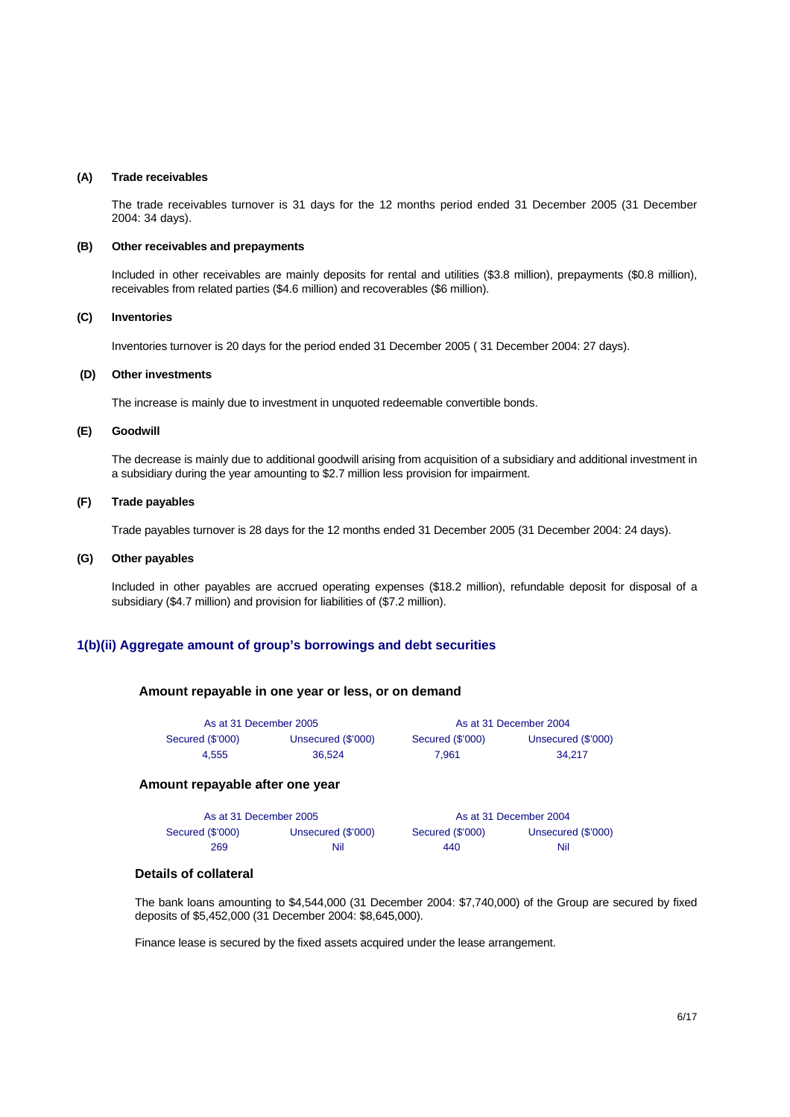#### **(A) Trade receivables**

 The trade receivables turnover is 31 days for the 12 months period ended 31 December 2005 (31 December 2004: 34 days).

#### **(B) Other receivables and prepayments**

Included in other receivables are mainly deposits for rental and utilities (\$3.8 million), prepayments (\$0.8 million), receivables from related parties (\$4.6 million) and recoverables (\$6 million).

#### **(C) Inventories**

Inventories turnover is 20 days for the period ended 31 December 2005 ( 31 December 2004: 27 days).

#### **(D) Other investments**

The increase is mainly due to investment in unquoted redeemable convertible bonds.

#### **(E) Goodwill**

 The decrease is mainly due to additional goodwill arising from acquisition of a subsidiary and additional investment in a subsidiary during the year amounting to \$2.7 million less provision for impairment.

#### **(F) Trade payables**

Trade payables turnover is 28 days for the 12 months ended 31 December 2005 (31 December 2004: 24 days).

#### **(G) Other payables**

 Included in other payables are accrued operating expenses (\$18.2 million), refundable deposit for disposal of a subsidiary (\$4.7 million) and provision for liabilities of (\$7.2 million).

## **1(b)(ii) Aggregate amount of group's borrowings and debt securities**

#### **Amount repayable in one year or less, or on demand**

| As at 31 December 2005 |                    | As at 31 December 2004 |                    |  |  |
|------------------------|--------------------|------------------------|--------------------|--|--|
| Secured (\$'000)       | Unsecured (\$'000) | Secured (\$'000)       | Unsecured (\$'000) |  |  |
| 4.555                  | 36.524             | 7.961                  | 34.217             |  |  |

#### **Amount repayable after one year**

| As at 31 December 2005 |                    | As at 31 December 2004 |                    |  |
|------------------------|--------------------|------------------------|--------------------|--|
| Secured (\$'000)       | Unsecured (\$'000) | Secured (\$'000)       | Unsecured (\$'000) |  |
| 269                    | Nil                | 440                    | Nil                |  |

### **Details of collateral**

The bank loans amounting to \$4,544,000 (31 December 2004: \$7,740,000) of the Group are secured by fixed deposits of \$5,452,000 (31 December 2004: \$8,645,000).

Finance lease is secured by the fixed assets acquired under the lease arrangement.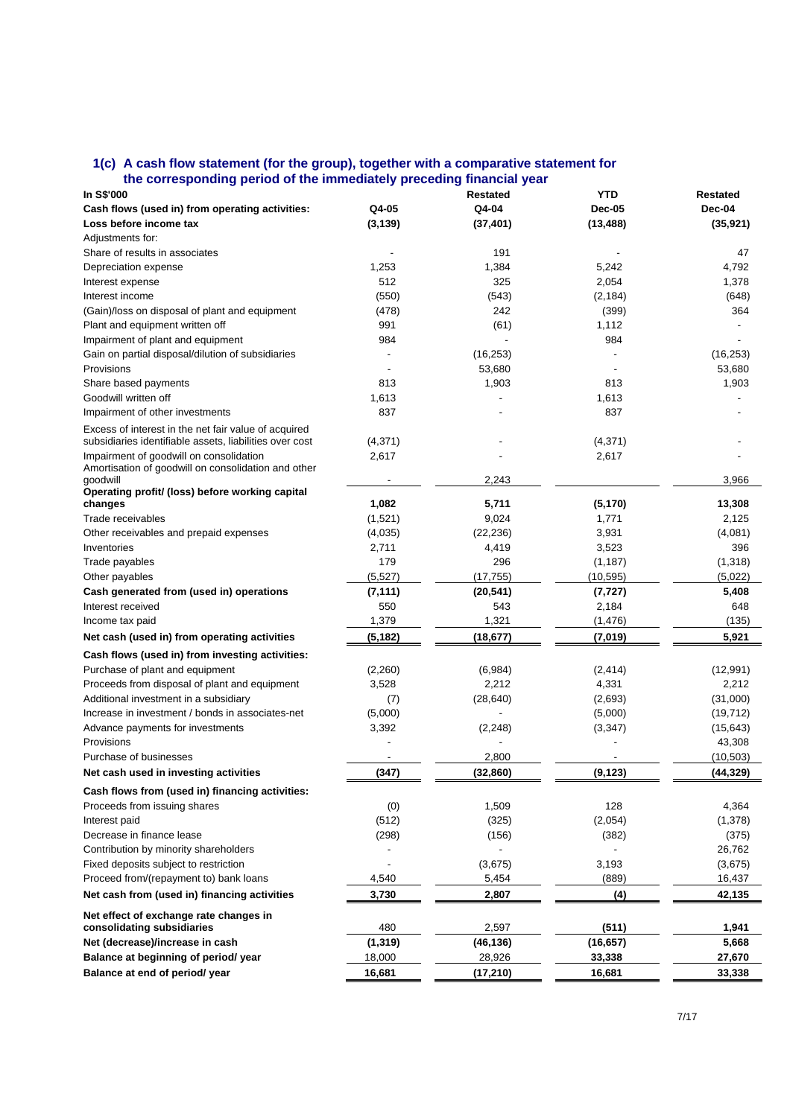#### **1(c) A cash flow statement (for the group), together with a comparative statement for the corresponding period of the immediately preceding financial year**

| son coponumly portou or the miniculately p                                                                      |          |                 |               |                 |
|-----------------------------------------------------------------------------------------------------------------|----------|-----------------|---------------|-----------------|
| In S\$'000                                                                                                      |          | <b>Restated</b> | <b>YTD</b>    | <b>Restated</b> |
| Cash flows (used in) from operating activities:                                                                 | Q4-05    | Q4-04           | <b>Dec-05</b> | Dec-04          |
| Loss before income tax                                                                                          | (3, 139) | (37, 401)       | (13, 488)     | (35, 921)       |
| Adjustments for:                                                                                                |          |                 |               |                 |
| Share of results in associates                                                                                  |          | 191             |               | 47              |
| Depreciation expense                                                                                            | 1,253    | 1,384           | 5,242         | 4,792           |
| Interest expense                                                                                                | 512      | 325             | 2,054         | 1,378           |
| Interest income                                                                                                 | (550)    | (543)           | (2, 184)      | (648)           |
| (Gain)/loss on disposal of plant and equipment                                                                  | (478)    | 242             | (399)         | 364             |
| Plant and equipment written off                                                                                 | 991      | (61)            | 1,112         |                 |
| Impairment of plant and equipment                                                                               | 984      |                 | 984           |                 |
| Gain on partial disposal/dilution of subsidiaries                                                               |          | (16, 253)       |               | (16, 253)       |
| Provisions                                                                                                      |          | 53,680          |               | 53,680          |
| Share based payments                                                                                            | 813      | 1,903           | 813           | 1,903           |
| Goodwill written off                                                                                            | 1,613    |                 | 1,613         |                 |
| Impairment of other investments                                                                                 | 837      |                 | 837           |                 |
| Excess of interest in the net fair value of acquired<br>subsidiaries identifiable assets, liabilities over cost | (4, 371) |                 | (4,371)       |                 |
| Impairment of goodwill on consolidation                                                                         | 2,617    |                 | 2,617         |                 |
| Amortisation of goodwill on consolidation and other                                                             |          |                 |               |                 |
| goodwill<br>Operating profit/ (loss) before working capital                                                     |          | 2,243           |               | 3,966           |
| changes                                                                                                         | 1,082    | 5,711           | (5, 170)      | 13,308          |
| Trade receivables                                                                                               | (1,521)  | 9,024           | 1,771         | 2,125           |
| Other receivables and prepaid expenses                                                                          | (4,035)  | (22, 236)       | 3,931         | (4,081)         |
| Inventories                                                                                                     | 2,711    | 4,419           | 3,523         | 396             |
| Trade payables                                                                                                  | 179      | 296             | (1, 187)      | (1,318)         |
| Other payables                                                                                                  | (5,527)  | (17, 755)       | (10,595)      | (5,022)         |
| Cash generated from (used in) operations                                                                        | (7, 111) | (20, 541)       | (7, 727)      | 5,408           |
| Interest received                                                                                               | 550      | 543             | 2,184         | 648             |
| Income tax paid                                                                                                 | 1,379    | 1,321           | (1, 476)      | (135)           |
| Net cash (used in) from operating activities                                                                    | (5, 182) | (18,677)        | (7,019)       | 5,921           |
| Cash flows (used in) from investing activities:                                                                 |          |                 |               |                 |
| Purchase of plant and equipment                                                                                 | (2,260)  | (6,984)         | (2, 414)      | (12, 991)       |
| Proceeds from disposal of plant and equipment                                                                   | 3,528    | 2,212           | 4,331         | 2,212           |
| Additional investment in a subsidiary                                                                           | (7)      | (28, 640)       | (2,693)       | (31,000)        |
| Increase in investment / bonds in associates-net                                                                | (5,000)  |                 | (5,000)       | (19, 712)       |
| Advance payments for investments                                                                                | 3,392    |                 | (3, 347)      | (15, 643)       |
| Provisions                                                                                                      |          | (2, 248)        |               | 43,308          |
| Purchase of businesses                                                                                          |          | 2,800           |               | (10, 503)       |
|                                                                                                                 |          |                 |               |                 |
| Net cash used in investing activities                                                                           | (347)    | (32, 860)       | (9, 123)      | (44, 329)       |
| Cash flows from (used in) financing activities:                                                                 |          |                 |               |                 |
| Proceeds from issuing shares                                                                                    | (0)      | 1,509           | 128           | 4,364           |
| Interest paid                                                                                                   | (512)    | (325)           | (2,054)       | (1,378)         |
| Decrease in finance lease                                                                                       | (298)    | (156)           | (382)         | (375)           |
| Contribution by minority shareholders                                                                           |          |                 |               | 26,762          |
| Fixed deposits subject to restriction                                                                           |          | (3,675)         | 3,193         | (3,675)         |
| Proceed from/(repayment to) bank loans                                                                          | 4,540    | 5,454           | (889)         | 16,437          |
| Net cash from (used in) financing activities                                                                    | 3,730    | 2,807           | (4)           | 42,135          |
| Net effect of exchange rate changes in                                                                          |          |                 |               |                 |
| consolidating subsidiaries                                                                                      | 480      | 2,597           | (511)         | 1,941           |
| Net (decrease)/increase in cash                                                                                 | (1, 319) | (46, 136)       | (16, 657)     | 5,668           |
| Balance at beginning of period/ year                                                                            | 18,000   | 28,926          | 33,338        | 27,670          |
| Balance at end of period/ year                                                                                  | 16,681   | (17, 210)       | 16,681        | 33,338          |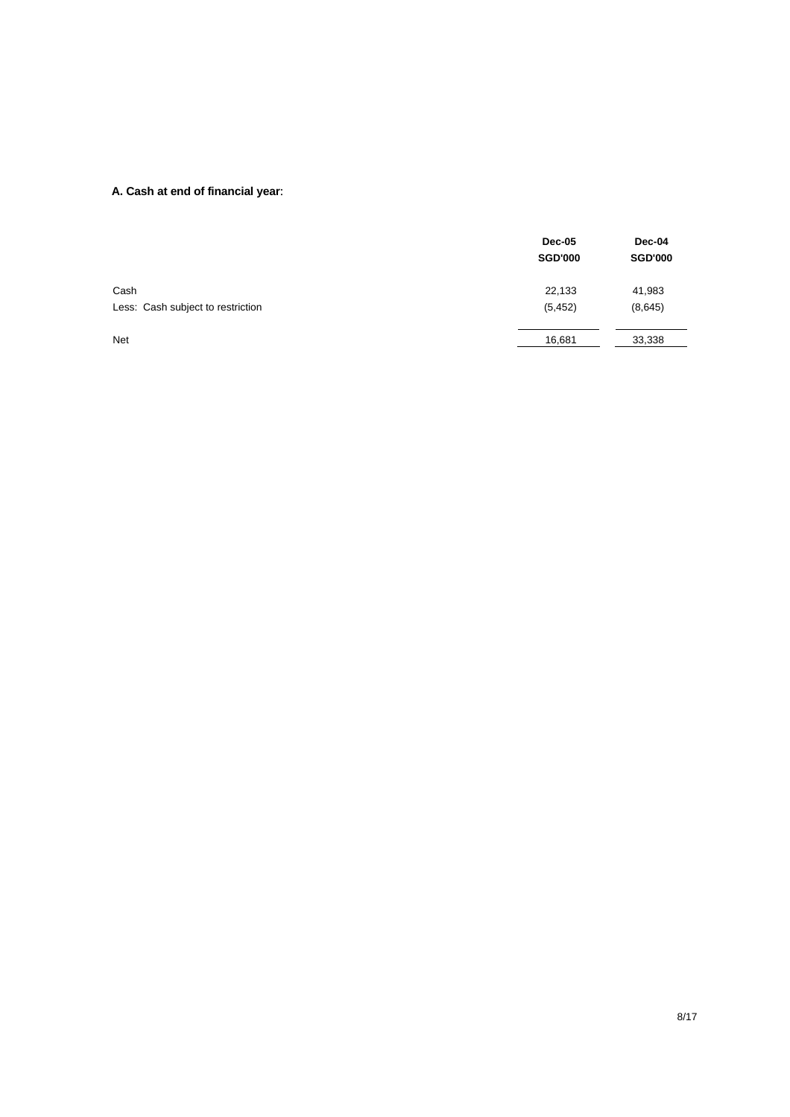## **A. Cash at end of financial year**:

|                                   | <b>Dec-05</b><br><b>SGD'000</b> | Dec-04<br><b>SGD'000</b> |
|-----------------------------------|---------------------------------|--------------------------|
| Cash                              | 22,133                          | 41,983                   |
| Less: Cash subject to restriction | (5, 452)                        | (8,645)                  |
| <b>Net</b>                        | 16,681                          | 33,338                   |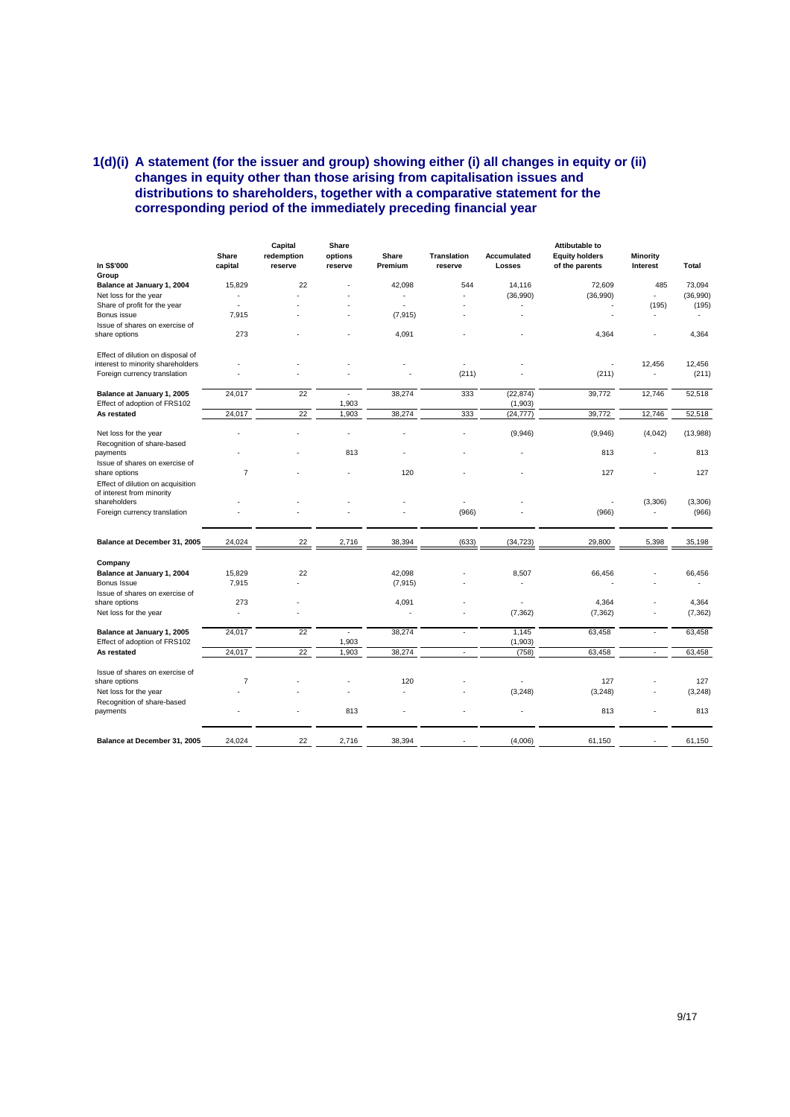### **1(d)(i) A statement (for the issuer and group) showing either (i) all changes in equity or (ii) changes in equity other than those arising from capitalisation issues and distributions to shareholders, together with a comparative statement for the corresponding period of the immediately preceding financial year**

|                                                                                | Share          | Capital<br>redemption | Share<br>options | Share    | Translation | <b>Accumulated</b>   | <b>Attibutable to</b><br><b>Equity holders</b> | <b>Minority</b>          |                   |
|--------------------------------------------------------------------------------|----------------|-----------------------|------------------|----------|-------------|----------------------|------------------------------------------------|--------------------------|-------------------|
| In S\$'000<br>Group                                                            | capital        | reserve               | reserve          | Premium  | reserve     | Losses               | of the parents                                 | Interest                 | Total             |
| Balance at January 1, 2004                                                     | 15,829         | 22                    |                  | 42,098   | 544         | 14,116               | 72,609                                         | 485                      | 73,094            |
| Net loss for the year                                                          |                |                       |                  |          | ä,          | (36,990)             | (36,990)                                       | ÷.                       | (36,990)          |
| Share of profit for the year                                                   | í,             |                       |                  |          |             |                      |                                                | (195)                    | (195)             |
| Bonus issue                                                                    | 7,915          |                       |                  | (7, 915) |             |                      |                                                |                          |                   |
| Issue of shares on exercise of<br>share options                                | 273            |                       |                  | 4,091    |             |                      | 4,364                                          |                          | 4,364             |
| Effect of dilution on disposal of                                              |                |                       |                  |          |             |                      |                                                |                          |                   |
| interest to minority shareholders                                              |                |                       |                  |          | ÷.          |                      |                                                | 12,456                   | 12,456            |
| Foreign currency translation                                                   |                |                       |                  |          | (211)       |                      | (211)                                          | $\overline{\phantom{a}}$ | (211)             |
| Balance at January 1, 2005<br>Effect of adoption of FRS102                     | 24,017         | 22                    | ä,<br>1,903      | 38,274   | 333         | (22, 874)<br>(1,903) | 39,772                                         | 12,746                   | 52,518            |
| As restated                                                                    | 24,017         | 22                    | 1,903            | 38,274   | 333         | (24, 777)            | 39,772                                         | 12,746                   | 52,518            |
| Net loss for the year<br>Recognition of share-based                            |                |                       |                  |          |             | (9,946)              | (9,946)                                        | (4,042)                  | (13,988)          |
| payments                                                                       |                |                       | 813              |          |             |                      | 813                                            |                          | 813               |
| Issue of shares on exercise of<br>share options                                | $\overline{7}$ |                       |                  | 120      |             |                      | 127                                            |                          | 127               |
| Effect of dilution on acquisition<br>of interest from minority<br>shareholders |                |                       |                  |          | ä,          |                      |                                                | (3,306)                  | (3, 306)          |
| Foreign currency translation                                                   |                |                       |                  |          | (966)       |                      | (966)                                          |                          | (966)             |
| Balance at December 31, 2005                                                   | 24,024         | 22                    | 2,716            | 38,394   | (633)       | (34, 723)            | 29,800                                         | 5,398                    | 35,198            |
| Company                                                                        |                |                       |                  |          |             |                      |                                                |                          |                   |
| Balance at January 1, 2004                                                     | 15,829         | 22                    |                  | 42.098   |             | 8,507                | 66.456                                         |                          | 66,456            |
| Bonus Issue                                                                    | 7,915          |                       |                  | (7, 915) |             | $\sim$               |                                                |                          |                   |
| Issue of shares on exercise of                                                 |                |                       |                  |          |             |                      |                                                |                          |                   |
| share options<br>Net loss for the year                                         | 273            |                       |                  | 4,091    |             | (7, 362)             | 4,364<br>(7, 362)                              |                          | 4,364<br>(7, 362) |
|                                                                                |                |                       |                  |          |             |                      |                                                |                          |                   |
| Balance at January 1, 2005                                                     | 24,017         | 22                    | ä,               | 38,274   | J.          | 1,145                | 63,458                                         | $\sim$                   | 63,458            |
| Effect of adoption of FRS102                                                   |                |                       | 1,903            |          |             | (1, 903)             |                                                |                          |                   |
| As restated                                                                    | 24,017         | 22                    | 1,903            | 38,274   | ÷,          | (758)                | 63,458                                         | ÷,                       | 63,458            |
| Issue of shares on exercise of                                                 |                |                       |                  |          |             |                      |                                                |                          |                   |
| share options                                                                  | $\overline{7}$ |                       |                  | 120      |             |                      | 127                                            |                          | 127               |
| Net loss for the year                                                          |                |                       |                  |          |             | (3, 248)             | (3, 248)                                       |                          | (3, 248)          |
| Recognition of share-based<br>payments                                         |                |                       | 813              |          |             |                      | 813                                            |                          | 813               |
| Balance at December 31, 2005                                                   | 24,024         | 22                    | 2,716            | 38,394   |             | (4,006)              | 61,150                                         | ٠                        | 61,150            |
|                                                                                |                |                       |                  |          |             |                      |                                                |                          |                   |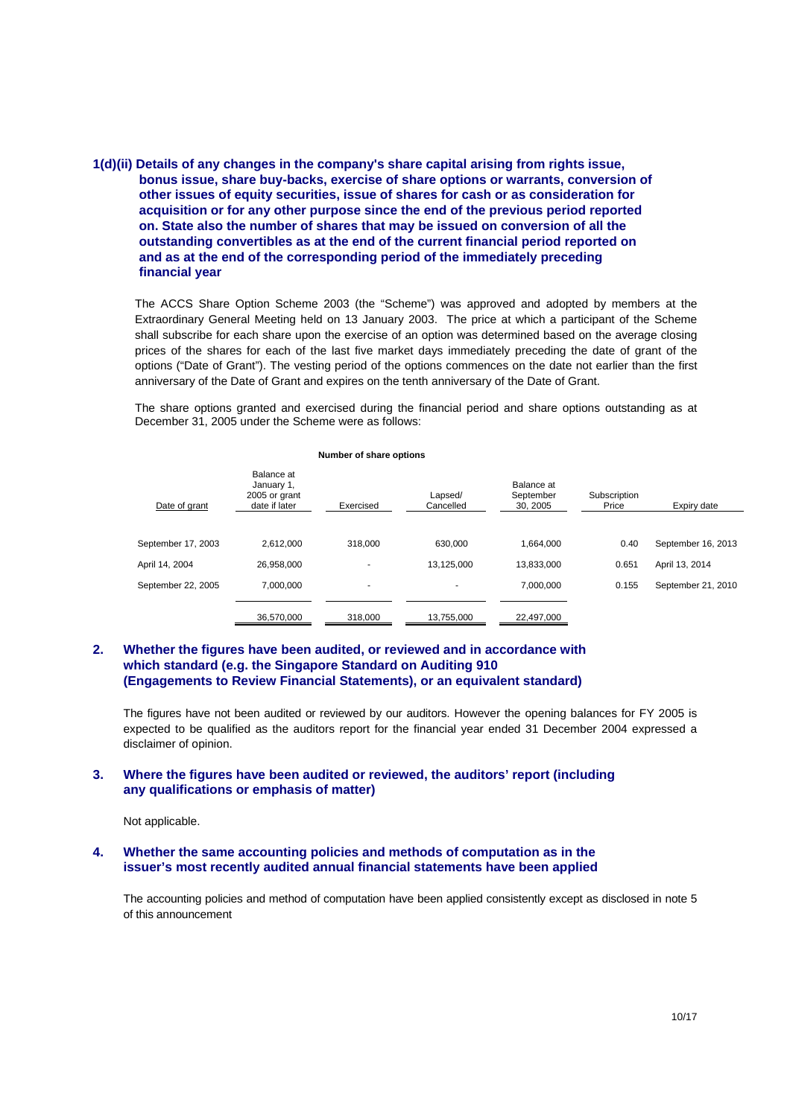### **1(d)(ii) Details of any changes in the company's share capital arising from rights issue, bonus issue, share buy-backs, exercise of share options or warrants, conversion of other issues of equity securities, issue of shares for cash or as consideration for acquisition or for any other purpose since the end of the previous period reported on. State also the number of shares that may be issued on conversion of all the outstanding convertibles as at the end of the current financial period reported on and as at the end of the corresponding period of the immediately preceding financial year**

The ACCS Share Option Scheme 2003 (the "Scheme") was approved and adopted by members at the Extraordinary General Meeting held on 13 January 2003. The price at which a participant of the Scheme shall subscribe for each share upon the exercise of an option was determined based on the average closing prices of the shares for each of the last five market days immediately preceding the date of grant of the options ("Date of Grant"). The vesting period of the options commences on the date not earlier than the first anniversary of the Date of Grant and expires on the tenth anniversary of the Date of Grant.

The share options granted and exercised during the financial period and share options outstanding as at December 31, 2005 under the Scheme were as follows:

| Date of grant      | Balance at<br>January 1,<br>2005 or grant<br>date if later | Exercised                | Lapsed/<br>Cancelled | Balance at<br>September<br>30, 2005 | Subscription<br>Price | Expiry date        |
|--------------------|------------------------------------------------------------|--------------------------|----------------------|-------------------------------------|-----------------------|--------------------|
|                    |                                                            |                          |                      |                                     |                       |                    |
| September 17, 2003 | 2.612.000                                                  | 318.000                  | 630.000              | 1.664.000                           | 0.40                  | September 16, 2013 |
| April 14, 2004     | 26.958.000                                                 | ٠                        | 13,125,000           | 13.833.000                          | 0.651                 | April 13, 2014     |
| September 22, 2005 | 7.000.000                                                  | $\overline{\phantom{a}}$ |                      | 7.000.000                           | 0.155                 | September 21, 2010 |
|                    | 36,570,000                                                 | 318,000                  | 13,755,000           | 22,497,000                          |                       |                    |

#### **Number of share options**

### **2. Whether the figures have been audited, or reviewed and in accordance with which standard (e.g. the Singapore Standard on Auditing 910 (Engagements to Review Financial Statements), or an equivalent standard)**

The figures have not been audited or reviewed by our auditors. However the opening balances for FY 2005 is expected to be qualified as the auditors report for the financial year ended 31 December 2004 expressed a disclaimer of opinion.

### **3. Where the figures have been audited or reviewed, the auditors' report (including any qualifications or emphasis of matter)**

Not applicable.

#### **4. Whether the same accounting policies and methods of computation as in the issuer's most recently audited annual financial statements have been applied**

The accounting policies and method of computation have been applied consistently except as disclosed in note 5 of this announcement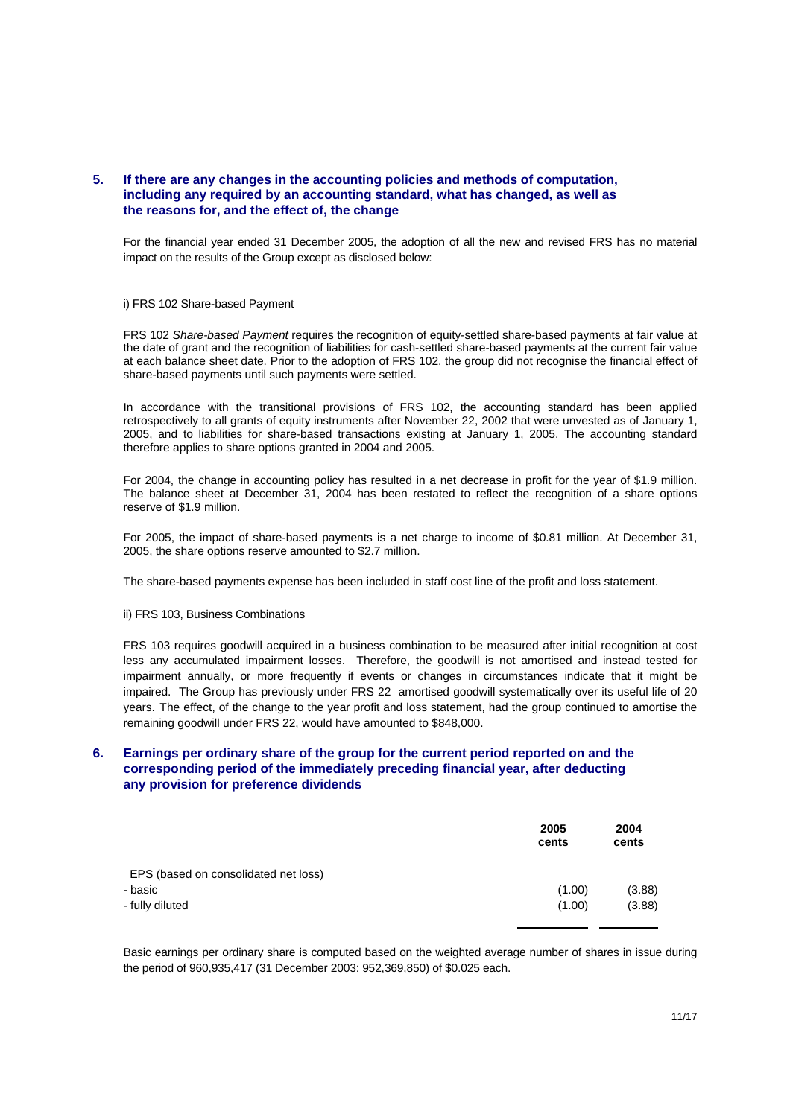### **5. If there are any changes in the accounting policies and methods of computation, including any required by an accounting standard, what has changed, as well as the reasons for, and the effect of, the change**

For the financial year ended 31 December 2005, the adoption of all the new and revised FRS has no material impact on the results of the Group except as disclosed below:

#### i) FRS 102 Share-based Payment

FRS 102 *Share-based Payment* requires the recognition of equity-settled share-based payments at fair value at the date of grant and the recognition of liabilities for cash-settled share-based payments at the current fair value at each balance sheet date. Prior to the adoption of FRS 102, the group did not recognise the financial effect of share-based payments until such payments were settled.

In accordance with the transitional provisions of FRS 102, the accounting standard has been applied retrospectively to all grants of equity instruments after November 22, 2002 that were unvested as of January 1, 2005, and to liabilities for share-based transactions existing at January 1, 2005. The accounting standard therefore applies to share options granted in 2004 and 2005.

For 2004, the change in accounting policy has resulted in a net decrease in profit for the year of \$1.9 million. The balance sheet at December 31, 2004 has been restated to reflect the recognition of a share options reserve of \$1.9 million.

For 2005, the impact of share-based payments is a net charge to income of \$0.81 million. At December 31, 2005, the share options reserve amounted to \$2.7 million.

The share-based payments expense has been included in staff cost line of the profit and loss statement.

#### ii) FRS 103, Business Combinations

FRS 103 requires goodwill acquired in a business combination to be measured after initial recognition at cost less any accumulated impairment losses. Therefore, the goodwill is not amortised and instead tested for impairment annually, or more frequently if events or changes in circumstances indicate that it might be impaired. The Group has previously under FRS 22 amortised goodwill systematically over its useful life of 20 years. The effect, of the change to the year profit and loss statement, had the group continued to amortise the remaining goodwill under FRS 22, would have amounted to \$848,000.

### **6. Earnings per ordinary share of the group for the current period reported on and the corresponding period of the immediately preceding financial year, after deducting any provision for preference dividends**

|                                      | 2005<br>cents | 2004<br>cents |
|--------------------------------------|---------------|---------------|
| EPS (based on consolidated net loss) |               |               |
| - basic                              | (1.00)        | (3.88)        |
| - fully diluted                      | (1.00)        | (3.88)        |

Basic earnings per ordinary share is computed based on the weighted average number of shares in issue during the period of 960,935,417 (31 December 2003: 952,369,850) of \$0.025 each.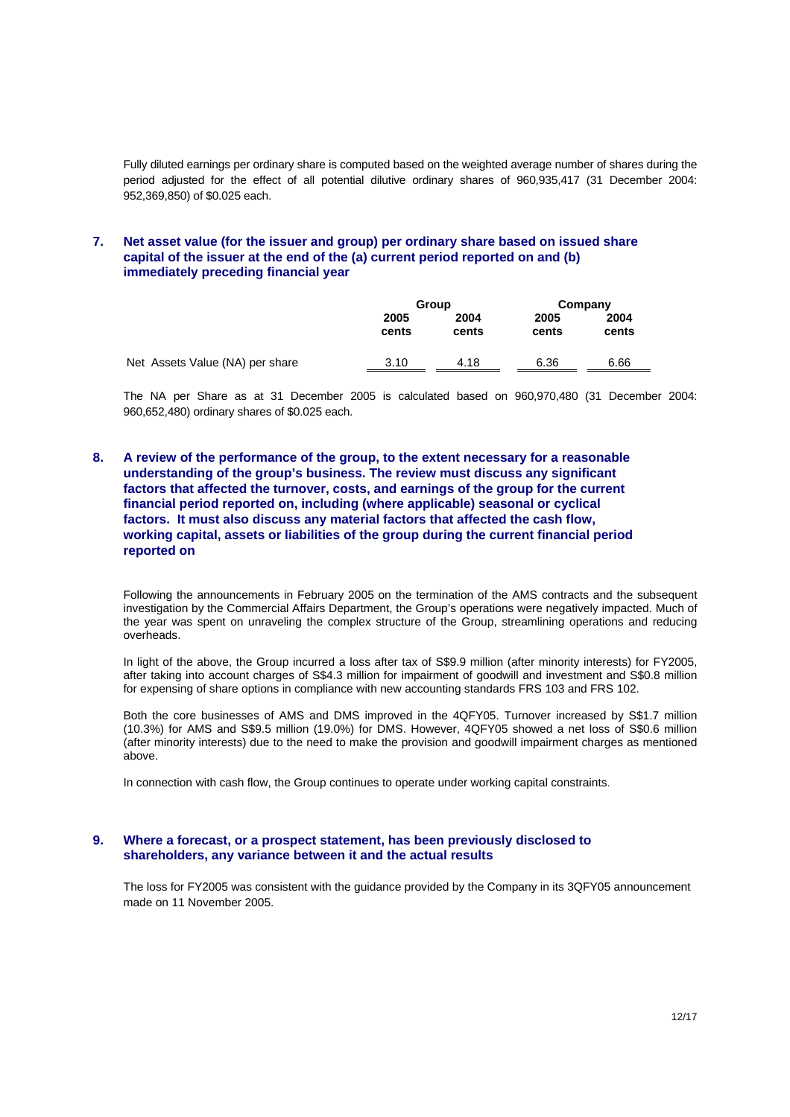Fully diluted earnings per ordinary share is computed based on the weighted average number of shares during the period adjusted for the effect of all potential dilutive ordinary shares of 960,935,417 (31 December 2004: 952,369,850) of \$0.025 each.

### **7. Net asset value (for the issuer and group) per ordinary share based on issued share capital of the issuer at the end of the (a) current period reported on and (b) immediately preceding financial year**

|                                 | Group         |               |               | Company       |  |
|---------------------------------|---------------|---------------|---------------|---------------|--|
|                                 | 2005<br>cents | 2004<br>cents | 2005<br>cents | 2004<br>cents |  |
| Net Assets Value (NA) per share | 3.10          | 4.18          | 6.36          | 6.66          |  |

The NA per Share as at 31 December 2005 is calculated based on 960,970,480 (31 December 2004: 960,652,480) ordinary shares of \$0.025 each.

**8. A review of the performance of the group, to the extent necessary for a reasonable understanding of the group's business. The review must discuss any significant factors that affected the turnover, costs, and earnings of the group for the current financial period reported on, including (where applicable) seasonal or cyclical factors. It must also discuss any material factors that affected the cash flow, working capital, assets or liabilities of the group during the current financial period reported on** 

Following the announcements in February 2005 on the termination of the AMS contracts and the subsequent investigation by the Commercial Affairs Department, the Group's operations were negatively impacted. Much of the year was spent on unraveling the complex structure of the Group, streamlining operations and reducing overheads.

In light of the above, the Group incurred a loss after tax of S\$9.9 million (after minority interests) for FY2005, after taking into account charges of S\$4.3 million for impairment of goodwill and investment and S\$0.8 million for expensing of share options in compliance with new accounting standards FRS 103 and FRS 102.

Both the core businesses of AMS and DMS improved in the 4QFY05. Turnover increased by S\$1.7 million (10.3%) for AMS and S\$9.5 million (19.0%) for DMS. However, 4QFY05 showed a net loss of S\$0.6 million (after minority interests) due to the need to make the provision and goodwill impairment charges as mentioned above.

In connection with cash flow, the Group continues to operate under working capital constraints.

#### **9. Where a forecast, or a prospect statement, has been previously disclosed to shareholders, any variance between it and the actual results**

The loss for FY2005 was consistent with the guidance provided by the Company in its 3QFY05 announcement made on 11 November 2005.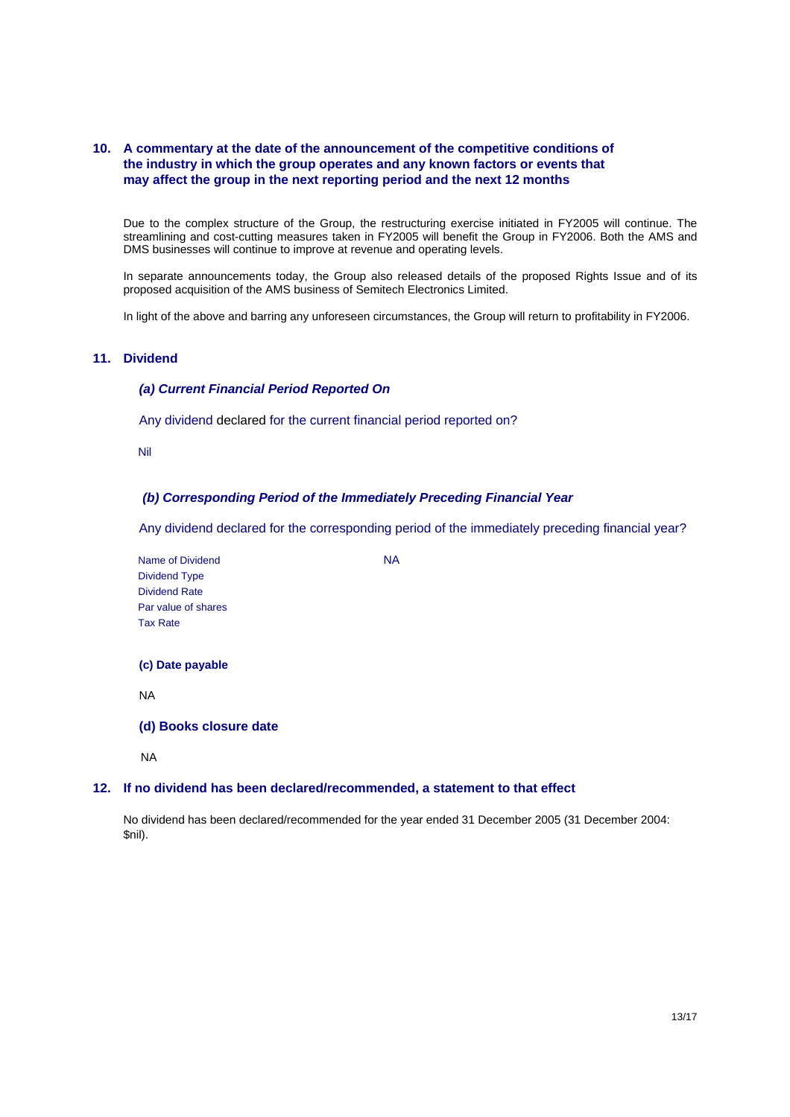### **10. A commentary at the date of the announcement of the competitive conditions of the industry in which the group operates and any known factors or events that may affect the group in the next reporting period and the next 12 months**

Due to the complex structure of the Group, the restructuring exercise initiated in FY2005 will continue. The streamlining and cost-cutting measures taken in FY2005 will benefit the Group in FY2006. Both the AMS and DMS businesses will continue to improve at revenue and operating levels.

In separate announcements today, the Group also released details of the proposed Rights Issue and of its proposed acquisition of the AMS business of Semitech Electronics Limited.

In light of the above and barring any unforeseen circumstances, the Group will return to profitability in FY2006.

### **11. Dividend**

#### *(a) Current Financial Period Reported On*

Any dividend declared for the current financial period reported on?

Nil

#### *(b) Corresponding Period of the Immediately Preceding Financial Year*

Any dividend declared for the corresponding period of the immediately preceding financial year?

Name of Dividend NA Dividend Type Dividend Rate Par value of shares Tax Rate

**(c) Date payable** 

NA

**(d) Books closure date** 

NA

#### **12. If no dividend has been declared/recommended, a statement to that effect**

No dividend has been declared/recommended for the year ended 31 December 2005 (31 December 2004: \$nil).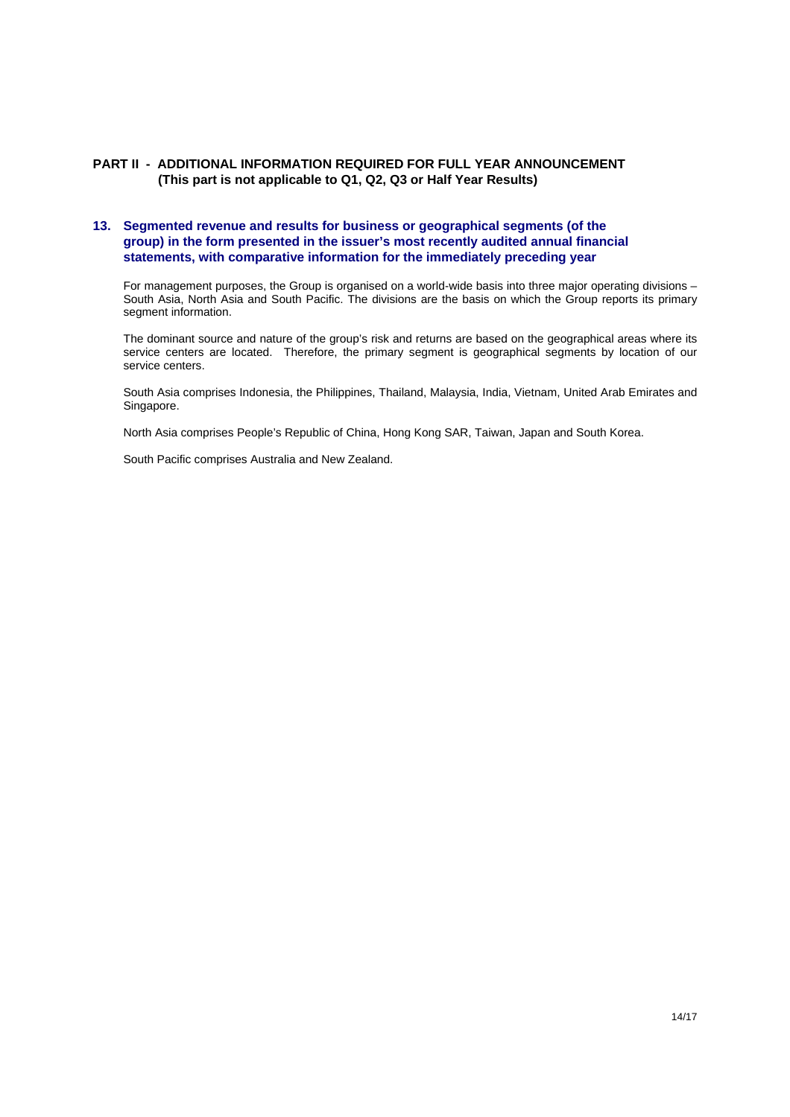### **PART II - ADDITIONAL INFORMATION REQUIRED FOR FULL YEAR ANNOUNCEMENT (This part is not applicable to Q1, Q2, Q3 or Half Year Results)**

### **13. Segmented revenue and results for business or geographical segments (of the group) in the form presented in the issuer's most recently audited annual financial statements, with comparative information for the immediately preceding year**

For management purposes, the Group is organised on a world-wide basis into three major operating divisions – South Asia, North Asia and South Pacific. The divisions are the basis on which the Group reports its primary segment information.

The dominant source and nature of the group's risk and returns are based on the geographical areas where its service centers are located. Therefore, the primary segment is geographical segments by location of our service centers.

South Asia comprises Indonesia, the Philippines, Thailand, Malaysia, India, Vietnam, United Arab Emirates and Singapore.

North Asia comprises People's Republic of China, Hong Kong SAR, Taiwan, Japan and South Korea.

South Pacific comprises Australia and New Zealand.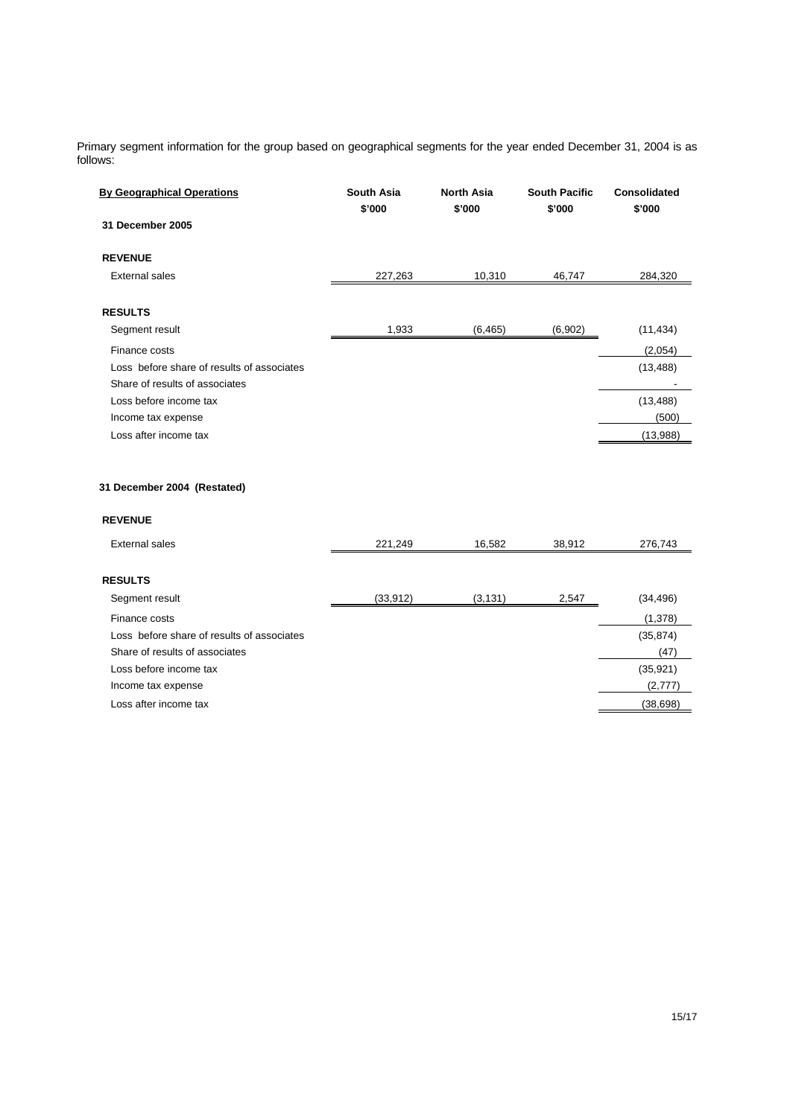Primary segment information for the group based on geographical segments for the year ended December 31, 2004 is as follows:

| <b>By Geographical Operations</b>                                            | South Asia<br>\$'000 | <b>North Asia</b><br>\$'000 | <b>South Pacific</b><br>\$'000 | <b>Consolidated</b><br>\$'000 |
|------------------------------------------------------------------------------|----------------------|-----------------------------|--------------------------------|-------------------------------|
| 31 December 2005                                                             |                      |                             |                                |                               |
| <b>REVENUE</b>                                                               |                      |                             |                                |                               |
| <b>External sales</b>                                                        | 227,263              | 10,310                      | 46,747                         | 284,320                       |
| <b>RESULTS</b>                                                               |                      |                             |                                |                               |
| Segment result                                                               | 1,933                | (6, 465)                    | (6,902)                        | (11, 434)                     |
| Finance costs                                                                |                      |                             |                                | (2,054)                       |
| Loss before share of results of associates<br>Share of results of associates |                      |                             |                                | (13, 488)                     |
| Loss before income tax                                                       |                      |                             |                                | (13, 488)                     |
| Income tax expense                                                           |                      |                             |                                | (500)                         |
| Loss after income tax                                                        |                      |                             |                                | (13,988)                      |
|                                                                              |                      |                             |                                |                               |
| 31 December 2004 (Restated)                                                  |                      |                             |                                |                               |
| <b>REVENUE</b>                                                               |                      |                             |                                |                               |
| <b>External sales</b>                                                        | 221,249              | 16,582                      | 38,912                         | 276,743                       |
| <b>RESULTS</b>                                                               |                      |                             |                                |                               |
| Segment result                                                               | (33, 912)            | (3, 131)                    | 2,547                          | (34, 496)                     |
| Finance costs                                                                |                      |                             |                                | (1,378)                       |
| Loss before share of results of associates                                   |                      |                             |                                | (35, 874)                     |
| Share of results of associates                                               |                      |                             |                                | (47)                          |
| Loss before income tax                                                       |                      |                             |                                | (35, 921)                     |
| Income tax expense                                                           |                      |                             |                                | (2,777)                       |
| Loss after income tax                                                        |                      |                             |                                | (38, 698)                     |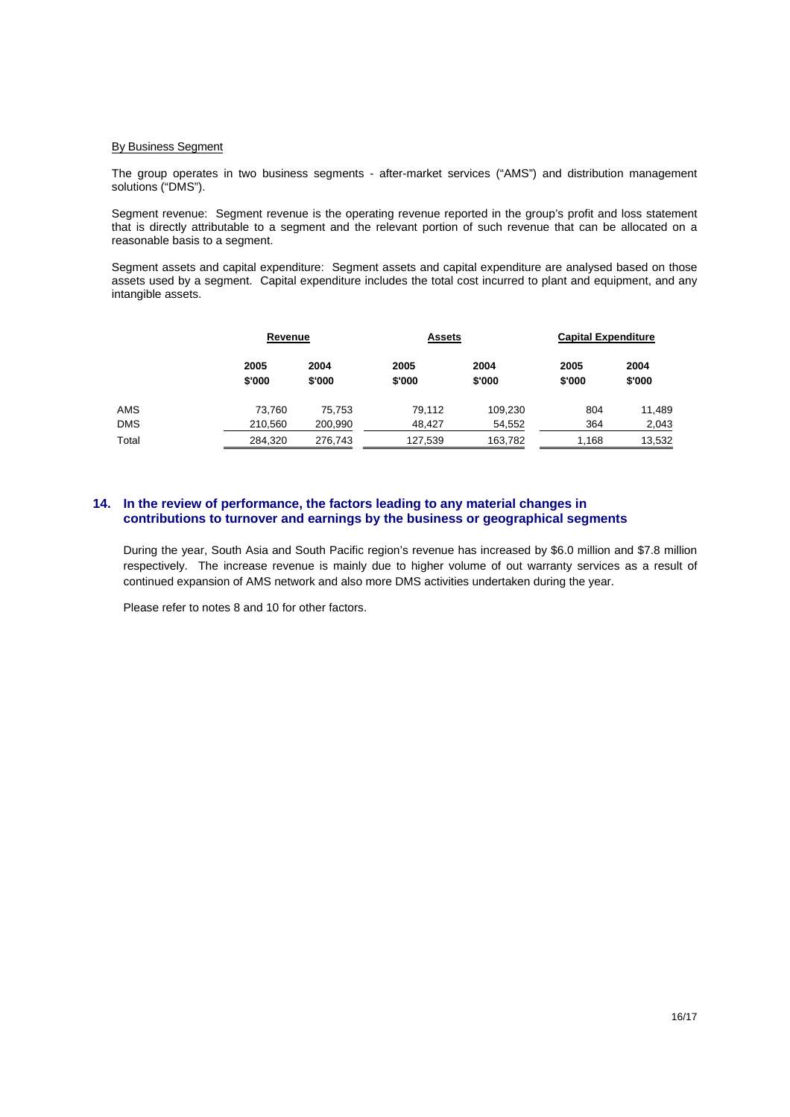#### **By Business Segment**

 The group operates in two business segments - after-market services ("AMS") and distribution management solutions ("DMS").

 Segment revenue: Segment revenue is the operating revenue reported in the group's profit and loss statement that is directly attributable to a segment and the relevant portion of such revenue that can be allocated on a reasonable basis to a segment.

 Segment assets and capital expenditure: Segment assets and capital expenditure are analysed based on those assets used by a segment. Capital expenditure includes the total cost incurred to plant and equipment, and any intangible assets.

|            |                | Revenue        |                | <b>Assets</b>  |                | <b>Capital Expenditure</b> |  |
|------------|----------------|----------------|----------------|----------------|----------------|----------------------------|--|
|            | 2005<br>\$'000 | 2004<br>\$'000 | 2005<br>\$'000 | 2004<br>\$'000 | 2005<br>\$'000 | 2004<br>\$'000             |  |
| AMS        | 73,760         | 75,753         | 79,112         | 109,230        | 804            | 11,489                     |  |
| <b>DMS</b> | 210,560        | 200,990        | 48.427         | 54,552         | 364            | 2,043                      |  |
| Total      | 284,320        | 276,743        | 127,539        | 163,782        | 1,168          | 13,532                     |  |

### **14. In the review of performance, the factors leading to any material changes in contributions to turnover and earnings by the business or geographical segments**

During the year, South Asia and South Pacific region's revenue has increased by \$6.0 million and \$7.8 million respectively. The increase revenue is mainly due to higher volume of out warranty services as a result of continued expansion of AMS network and also more DMS activities undertaken during the year.

Please refer to notes 8 and 10 for other factors.